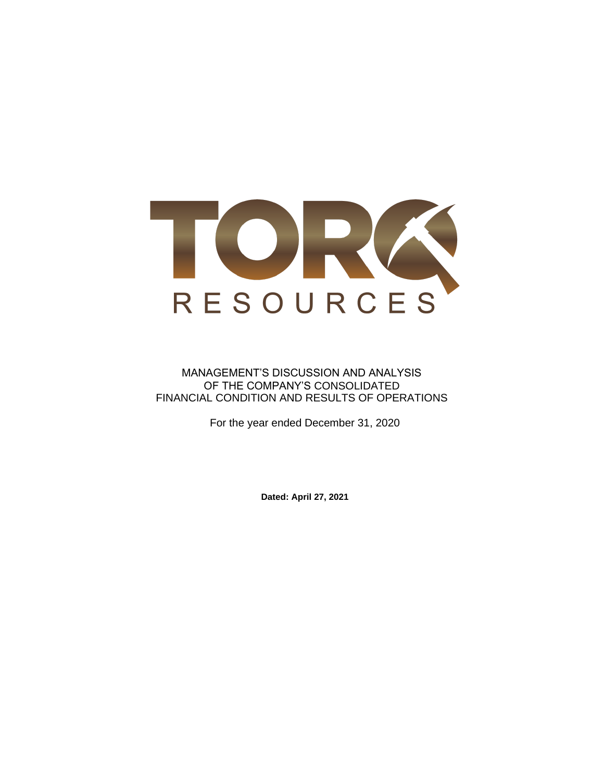

### MANAGEMENT'S DISCUSSION AND ANALYSIS OF THE COMPANY'S CONSOLIDATED FINANCIAL CONDITION AND RESULTS OF OPERATIONS

For the year ended December 31, 2020

**Dated: April 27, 2021**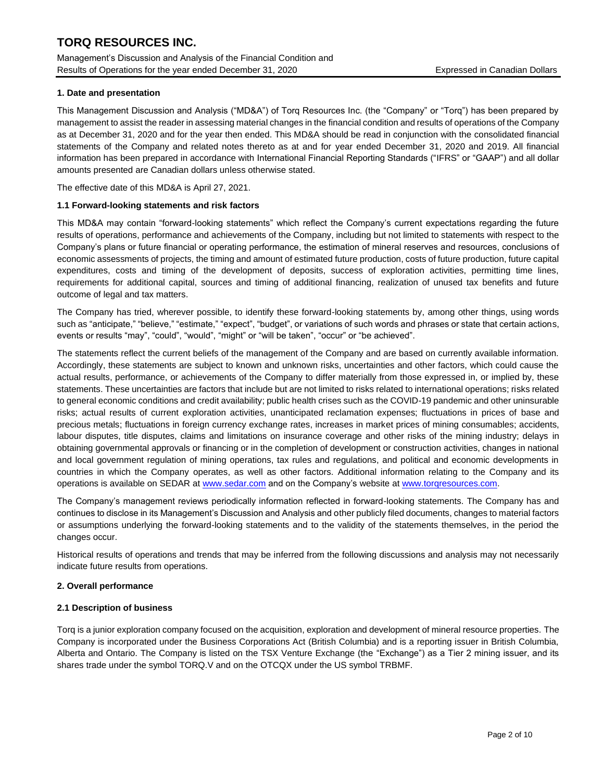Management's Discussion and Analysis of the Financial Condition and Results of Operations for the year ended December 31, 2020 Expressed in Canadian Dollars

### **1. Date and presentation**

This Management Discussion and Analysis ("MD&A") of Torq Resources Inc. (the "Company" or "Torq") has been prepared by management to assist the reader in assessing material changes in the financial condition and results of operations of the Company as at December 31, 2020 and for the year then ended. This MD&A should be read in conjunction with the consolidated financial statements of the Company and related notes thereto as at and for year ended December 31, 2020 and 2019. All financial information has been prepared in accordance with International Financial Reporting Standards ("IFRS" or "GAAP") and all dollar amounts presented are Canadian dollars unless otherwise stated.

The effective date of this MD&A is April 27, 2021.

#### **1.1 Forward-looking statements and risk factors**

This MD&A may contain "forward-looking statements" which reflect the Company's current expectations regarding the future results of operations, performance and achievements of the Company, including but not limited to statements with respect to the Company's plans or future financial or operating performance, the estimation of mineral reserves and resources, conclusions of economic assessments of projects, the timing and amount of estimated future production, costs of future production, future capital expenditures, costs and timing of the development of deposits, success of exploration activities, permitting time lines, requirements for additional capital, sources and timing of additional financing, realization of unused tax benefits and future outcome of legal and tax matters.

The Company has tried, wherever possible, to identify these forward-looking statements by, among other things, using words such as "anticipate," "believe," "estimate," "expect", "budget", or variations of such words and phrases or state that certain actions, events or results "may", "could", "would", "might" or "will be taken", "occur" or "be achieved".

The statements reflect the current beliefs of the management of the Company and are based on currently available information. Accordingly, these statements are subject to known and unknown risks, uncertainties and other factors, which could cause the actual results, performance, or achievements of the Company to differ materially from those expressed in, or implied by, these statements. These uncertainties are factors that include but are not limited to risks related to international operations; risks related to general economic conditions and credit availability; public health crises such as the COVID-19 pandemic and other uninsurable risks; actual results of current exploration activities, unanticipated reclamation expenses; fluctuations in prices of base and precious metals; fluctuations in foreign currency exchange rates, increases in market prices of mining consumables; accidents, labour disputes, title disputes, claims and limitations on insurance coverage and other risks of the mining industry; delays in obtaining governmental approvals or financing or in the completion of development or construction activities, changes in national and local government regulation of mining operations, tax rules and regulations, and political and economic developments in countries in which the Company operates, as well as other factors. Additional information relating to the Company and its operations is available on SEDAR at [www.sedar.com](http://www.sedar.com/) and on the Company's website a[t www.torqresources.com.](http://www.torqresources.com/)

The Company's management reviews periodically information reflected in forward-looking statements. The Company has and continues to disclose in its Management's Discussion and Analysis and other publicly filed documents, changes to material factors or assumptions underlying the forward-looking statements and to the validity of the statements themselves, in the period the changes occur.

Historical results of operations and trends that may be inferred from the following discussions and analysis may not necessarily indicate future results from operations.

#### **2. Overall performance**

#### **2.1 Description of business**

Torq is a junior exploration company focused on the acquisition, exploration and development of mineral resource properties. The Company is incorporated under the Business Corporations Act (British Columbia) and is a reporting issuer in British Columbia, Alberta and Ontario. The Company is listed on the TSX Venture Exchange (the "Exchange") as a Tier 2 mining issuer, and its shares trade under the symbol TORQ.V and on the OTCQX under the US symbol TRBMF.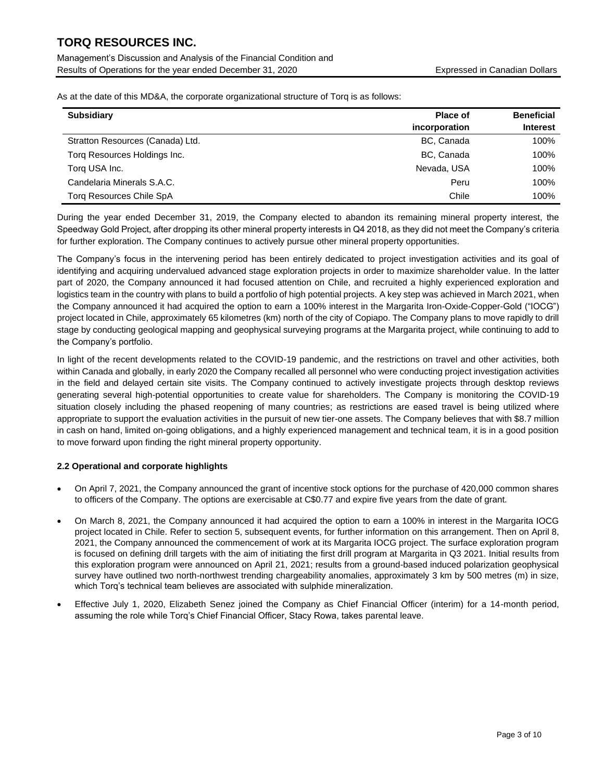Management's Discussion and Analysis of the Financial Condition and Results of Operations for the year ended December 31, 2020 Expressed in Canadian Dollars

As at the date of this MD&A, the corporate organizational structure of Torq is as follows:

| <b>Subsidiary</b>                | Place of      | <b>Beneficial</b> |
|----------------------------------|---------------|-------------------|
|                                  | incorporation | <b>Interest</b>   |
| Stratton Resources (Canada) Ltd. | BC, Canada    | 100%              |
| Torg Resources Holdings Inc.     | BC, Canada    | 100%              |
| Torg USA Inc.                    | Nevada, USA   | 100%              |
| Candelaria Minerals S.A.C.       | Peru          | 100%              |
| Torg Resources Chile SpA         | Chile         | 100%              |

During the year ended December 31, 2019, the Company elected to abandon its remaining mineral property interest, the Speedway Gold Project, after dropping its other mineral property interests in Q4 2018, as they did not meet the Company's criteria for further exploration. The Company continues to actively pursue other mineral property opportunities.

The Company's focus in the intervening period has been entirely dedicated to project investigation activities and its goal of identifying and acquiring undervalued advanced stage exploration projects in order to maximize shareholder value. In the latter part of 2020, the Company announced it had focused attention on Chile, and recruited a highly experienced exploration and logistics team in the country with plans to build a portfolio of high potential projects. A key step was achieved in March 2021, when the Company announced it had acquired the option to earn a 100% interest in the Margarita Iron-Oxide-Copper-Gold ("IOCG") project located in Chile, approximately 65 kilometres (km) north of the city of Copiapo. The Company plans to move rapidly to drill stage by conducting geological mapping and geophysical surveying programs at the Margarita project, while continuing to add to the Company's portfolio.

In light of the recent developments related to the COVID-19 pandemic, and the restrictions on travel and other activities, both within Canada and globally, in early 2020 the Company recalled all personnel who were conducting project investigation activities in the field and delayed certain site visits. The Company continued to actively investigate projects through desktop reviews generating several high-potential opportunities to create value for shareholders. The Company is monitoring the COVID-19 situation closely including the phased reopening of many countries; as restrictions are eased travel is being utilized where appropriate to support the evaluation activities in the pursuit of new tier-one assets. The Company believes that with \$8.7 million in cash on hand, limited on-going obligations, and a highly experienced management and technical team, it is in a good position to move forward upon finding the right mineral property opportunity.

### **2.2 Operational and corporate highlights**

- On April 7, 2021, the Company announced the grant of incentive stock options for the purchase of 420,000 common shares to officers of the Company. The options are exercisable at C\$0.77 and expire five years from the date of grant.
- On March 8, 2021, the Company announced it had acquired the option to earn a 100% in interest in the Margarita IOCG project located in Chile. Refer to section 5, subsequent events, for further information on this arrangement. Then on April 8, 2021, the Company announced the commencement of work at its Margarita IOCG project. The surface exploration program is focused on defining drill targets with the aim of initiating the first drill program at Margarita in Q3 2021. Initial results from this exploration program were announced on April 21, 2021; results from a ground-based induced polarization geophysical survey have outlined two north-northwest trending chargeability anomalies, approximately 3 km by 500 metres (m) in size, which Torq's technical team believes are associated with sulphide mineralization.
- Effective July 1, 2020, Elizabeth Senez joined the Company as Chief Financial Officer (interim) for a 14-month period, assuming the role while Torq's Chief Financial Officer, Stacy Rowa, takes parental leave.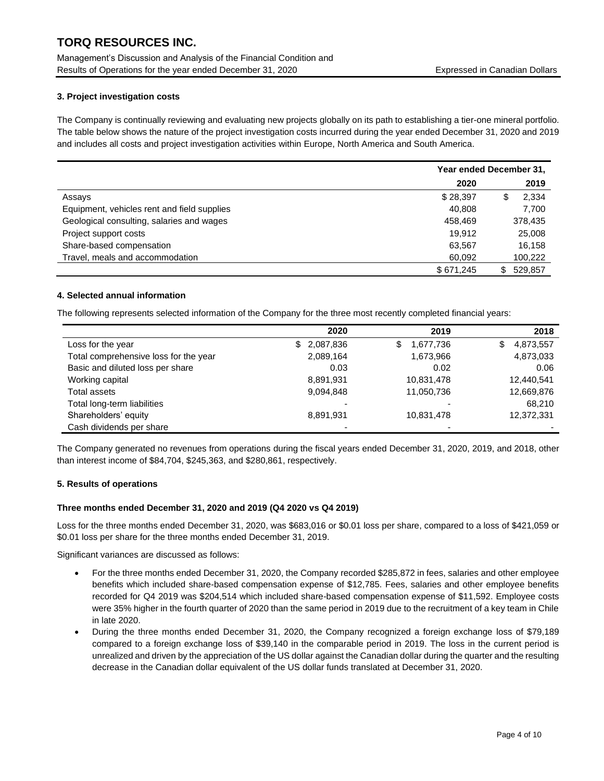Management's Discussion and Analysis of the Financial Condition and Results of Operations for the year ended December 31, 2020 Expressed in Canadian Dollars

### **3. Project investigation costs**

The Company is continually reviewing and evaluating new projects globally on its path to establishing a tier-one mineral portfolio. The table below shows the nature of the project investigation costs incurred during the year ended December 31, 2020 and 2019 and includes all costs and project investigation activities within Europe, North America and South America.

|                                             | Year ended December 31, |              |  |
|---------------------------------------------|-------------------------|--------------|--|
|                                             | 2020                    | 2019         |  |
| Assays                                      | \$28,397                | 2,334<br>S   |  |
| Equipment, vehicles rent and field supplies | 40.808                  | 7,700        |  |
| Geological consulting, salaries and wages   | 458.469                 | 378,435      |  |
| Project support costs                       | 19.912                  | 25,008       |  |
| Share-based compensation                    | 63.567                  | 16,158       |  |
| Travel, meals and accommodation             | 60,092                  | 100,222      |  |
|                                             | \$671.245               | 529.857<br>S |  |

### **4. Selected annual information**

The following represents selected information of the Company for the three most recently completed financial years:

|                                       | 2020            | 2019                     | 2018            |
|---------------------------------------|-----------------|--------------------------|-----------------|
| Loss for the year                     | 2,087,836<br>\$ | 1,677,736<br>\$          | 4,873,557<br>\$ |
| Total comprehensive loss for the year | 2,089,164       | 1,673,966                | 4,873,033       |
| Basic and diluted loss per share      | 0.03            | 0.02                     | 0.06            |
| Working capital                       | 8,891,931       | 10,831,478               | 12,440,541      |
| Total assets                          | 9,094,848       | 11,050,736               | 12,669,876      |
| Total long-term liabilities           |                 |                          | 68,210          |
| Shareholders' equity                  | 8,891,931       | 10,831,478               | 12,372,331      |
| Cash dividends per share              | -               | $\overline{\phantom{0}}$ |                 |

The Company generated no revenues from operations during the fiscal years ended December 31, 2020, 2019, and 2018, other than interest income of \$84,704, \$245,363, and \$280,861, respectively.

### **5. Results of operations**

### **Three months ended December 31, 2020 and 2019 (Q4 2020 vs Q4 2019)**

Loss for the three months ended December 31, 2020, was \$683,016 or \$0.01 loss per share, compared to a loss of \$421,059 or \$0.01 loss per share for the three months ended December 31, 2019.

Significant variances are discussed as follows:

- For the three months ended December 31, 2020, the Company recorded \$285,872 in fees, salaries and other employee benefits which included share-based compensation expense of \$12,785. Fees, salaries and other employee benefits recorded for Q4 2019 was \$204,514 which included share-based compensation expense of \$11,592. Employee costs were 35% higher in the fourth quarter of 2020 than the same period in 2019 due to the recruitment of a key team in Chile in late 2020.
- During the three months ended December 31, 2020, the Company recognized a foreign exchange loss of \$79,189 compared to a foreign exchange loss of \$39,140 in the comparable period in 2019. The loss in the current period is unrealized and driven by the appreciation of the US dollar against the Canadian dollar during the quarter and the resulting decrease in the Canadian dollar equivalent of the US dollar funds translated at December 31, 2020.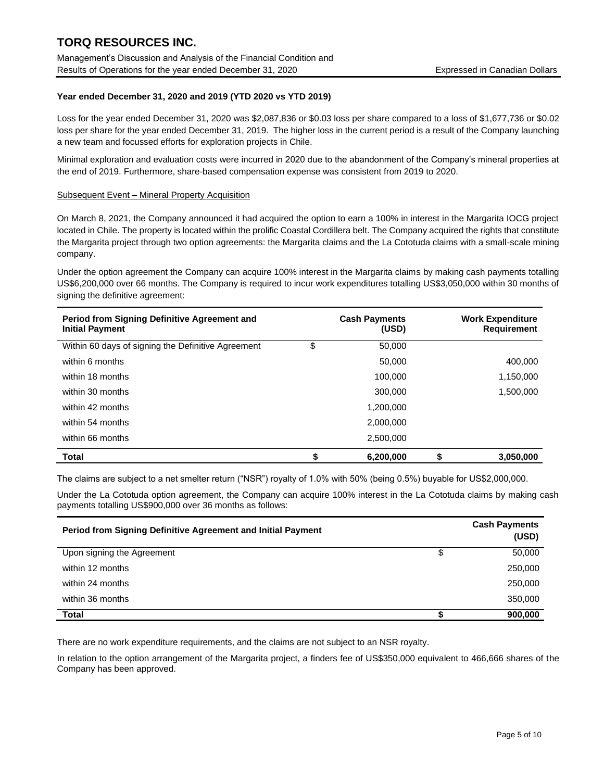Management's Discussion and Analysis of the Financial Condition and Results of Operations for the year ended December 31, 2020 Expressed in Canadian Dollars

### **Year ended December 31, 2020 and 2019 (YTD 2020 vs YTD 2019)**

Loss for the year ended December 31, 2020 was \$2,087,836 or \$0.03 loss per share compared to a loss of \$1,677,736 or \$0.02 loss per share for the year ended December 31, 2019. The higher loss in the current period is a result of the Company launching a new team and focussed efforts for exploration projects in Chile.

Minimal exploration and evaluation costs were incurred in 2020 due to the abandonment of the Company's mineral properties at the end of 2019. Furthermore, share-based compensation expense was consistent from 2019 to 2020.

#### Subsequent Event – Mineral Property Acquisition

On March 8, 2021, the Company announced it had acquired the option to earn a 100% in interest in the Margarita IOCG project located in Chile. The property is located within the prolific Coastal Cordillera belt. The Company acquired the rights that constitute the Margarita project through two option agreements: the Margarita claims and the La Cototuda claims with a small-scale mining company.

Under the option agreement the Company can acquire 100% interest in the Margarita claims by making cash payments totalling US\$6,200,000 over 66 months. The Company is required to incur work expenditures totalling US\$3,050,000 within 30 months of signing the definitive agreement:

| Period from Signing Definitive Agreement and<br><b>Initial Payment</b> |    | <b>Cash Payments</b><br>(USD) |   | <b>Work Expenditure</b><br><b>Requirement</b> |
|------------------------------------------------------------------------|----|-------------------------------|---|-----------------------------------------------|
| Within 60 days of signing the Definitive Agreement                     | \$ | 50,000                        |   |                                               |
| within 6 months                                                        |    | 50,000                        |   | 400,000                                       |
| within 18 months                                                       |    | 100,000                       |   | 1,150,000                                     |
| within 30 months                                                       |    | 300,000                       |   | 1,500,000                                     |
| within 42 months                                                       |    | 1,200,000                     |   |                                               |
| within 54 months                                                       |    | 2.000.000                     |   |                                               |
| within 66 months                                                       |    | 2,500,000                     |   |                                               |
| <b>Total</b>                                                           | S  | 6,200,000                     | S | 3,050,000                                     |

The claims are subject to a net smelter return ("NSR") royalty of 1.0% with 50% (being 0.5%) buyable for US\$2,000,000.

Under the La Cototuda option agreement, the Company can acquire 100% interest in the La Cototuda claims by making cash payments totalling US\$900,000 over 36 months as follows:

| Period from Signing Definitive Agreement and Initial Payment | <b>Cash Payments</b><br>(USD) |
|--------------------------------------------------------------|-------------------------------|
| Upon signing the Agreement                                   | \$<br>50,000                  |
| within 12 months                                             | 250,000                       |
| within 24 months                                             | 250,000                       |
| within 36 months                                             | 350,000                       |
| Total                                                        | 900,000                       |

There are no work expenditure requirements, and the claims are not subject to an NSR royalty.

In relation to the option arrangement of the Margarita project, a finders fee of US\$350,000 equivalent to 466,666 shares of the Company has been approved.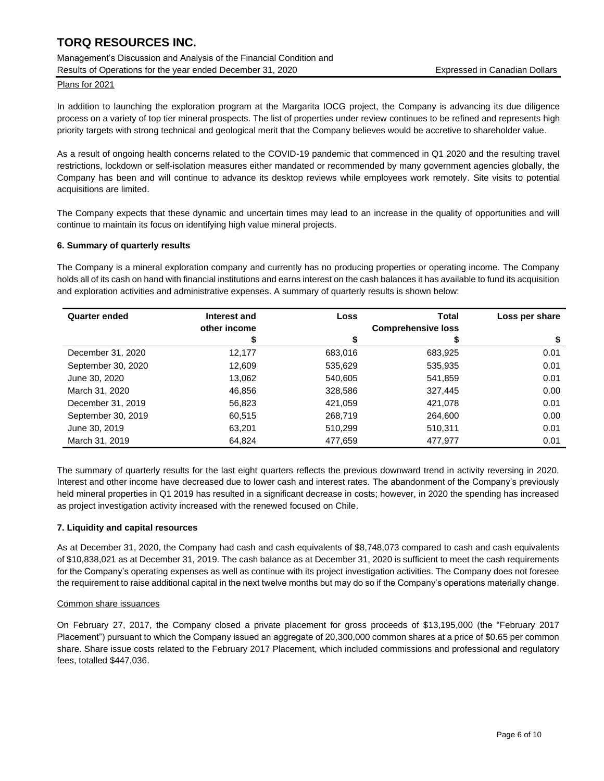Management's Discussion and Analysis of the Financial Condition and Results of Operations for the year ended December 31, 2020 Expressed in Canadian Dollars

Plans for 2021

In addition to launching the exploration program at the Margarita IOCG project, the Company is advancing its due diligence process on a variety of top tier mineral prospects. The list of properties under review continues to be refined and represents high priority targets with strong technical and geological merit that the Company believes would be accretive to shareholder value.

As a result of ongoing health concerns related to the COVID-19 pandemic that commenced in Q1 2020 and the resulting travel restrictions, lockdown or self-isolation measures either mandated or recommended by many government agencies globally, the Company has been and will continue to advance its desktop reviews while employees work remotely. Site visits to potential acquisitions are limited.

The Company expects that these dynamic and uncertain times may lead to an increase in the quality of opportunities and will continue to maintain its focus on identifying high value mineral projects.

#### **6. Summary of quarterly results**

The Company is a mineral exploration company and currently has no producing properties or operating income. The Company holds all of its cash on hand with financial institutions and earns interest on the cash balances it has available to fund its acquisition and exploration activities and administrative expenses. A summary of quarterly results is shown below:

| <b>Quarter ended</b> | Interest and | Loss    | Total                     | Loss per share |
|----------------------|--------------|---------|---------------------------|----------------|
|                      | other income |         | <b>Comprehensive loss</b> |                |
|                      |              |         |                           | \$             |
| December 31, 2020    | 12,177       | 683.016 | 683,925                   | 0.01           |
| September 30, 2020   | 12,609       | 535,629 | 535,935                   | 0.01           |
| June 30, 2020        | 13.062       | 540.605 | 541,859                   | 0.01           |
| March 31, 2020       | 46.856       | 328,586 | 327,445                   | 0.00           |
| December 31, 2019    | 56,823       | 421,059 | 421.078                   | 0.01           |
| September 30, 2019   | 60.515       | 268,719 | 264,600                   | 0.00           |
| June 30, 2019        | 63.201       | 510.299 | 510,311                   | 0.01           |
| March 31, 2019       | 64,824       | 477,659 | 477,977                   | 0.01           |

The summary of quarterly results for the last eight quarters reflects the previous downward trend in activity reversing in 2020. Interest and other income have decreased due to lower cash and interest rates. The abandonment of the Company's previously held mineral properties in Q1 2019 has resulted in a significant decrease in costs; however, in 2020 the spending has increased as project investigation activity increased with the renewed focused on Chile.

### **7. Liquidity and capital resources**

As at December 31, 2020, the Company had cash and cash equivalents of \$8,748,073 compared to cash and cash equivalents of \$10,838,021 as at December 31, 2019. The cash balance as at December 31, 2020 is sufficient to meet the cash requirements for the Company's operating expenses as well as continue with its project investigation activities. The Company does not foresee the requirement to raise additional capital in the next twelve months but may do so if the Company's operations materially change.

#### Common share issuances

On February 27, 2017, the Company closed a private placement for gross proceeds of \$13,195,000 (the "February 2017 Placement") pursuant to which the Company issued an aggregate of 20,300,000 common shares at a price of \$0.65 per common share. Share issue costs related to the February 2017 Placement, which included commissions and professional and regulatory fees, totalled \$447,036.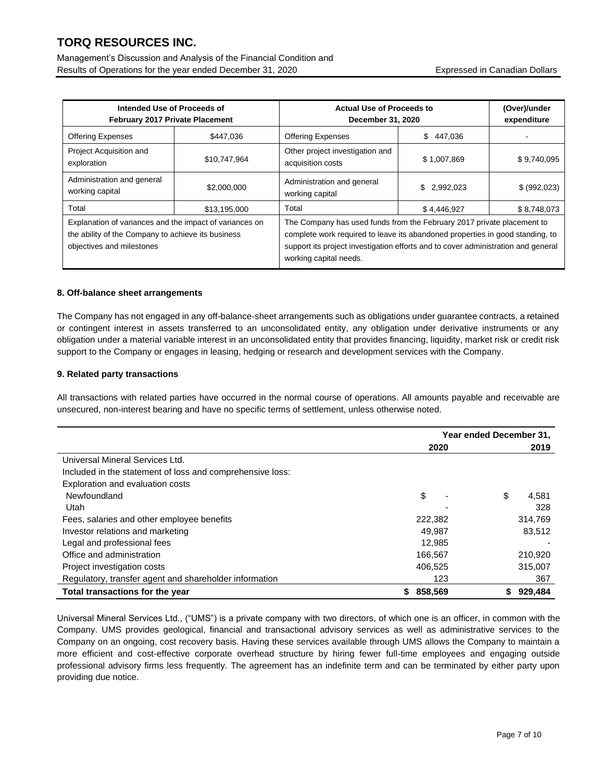Management's Discussion and Analysis of the Financial Condition and Results of Operations for the year ended December 31, 2020 Expressed in Canadian Dollars

| Intended Use of Proceeds of<br>February 2017 Private Placement                                                                             |              | <b>Actual Use of Proceeds to</b><br>December 31, 2020                                                                                                                                                                                                                  |                | (Over)/under<br>expenditure |
|--------------------------------------------------------------------------------------------------------------------------------------------|--------------|------------------------------------------------------------------------------------------------------------------------------------------------------------------------------------------------------------------------------------------------------------------------|----------------|-----------------------------|
| <b>Offering Expenses</b>                                                                                                                   | \$447,036    | <b>Offering Expenses</b>                                                                                                                                                                                                                                               | \$.<br>447.036 |                             |
| Project Acquisition and<br>exploration                                                                                                     | \$10,747,964 | Other project investigation and<br>acquisition costs                                                                                                                                                                                                                   | \$1,007,869    | \$9,740,095                 |
| Administration and general<br>working capital                                                                                              | \$2,000,000  | Administration and general<br>working capital                                                                                                                                                                                                                          | \$2,992,023    | \$ (992,023)                |
| Total                                                                                                                                      | \$13,195,000 | Total                                                                                                                                                                                                                                                                  | \$4,446,927    | \$8,748,073                 |
| Explanation of variances and the impact of variances on<br>the ability of the Company to achieve its business<br>objectives and milestones |              | The Company has used funds from the February 2017 private placement to<br>complete work required to leave its abandoned properties in good standing, to<br>support its project investigation efforts and to cover administration and general<br>working capital needs. |                |                             |

### **8. Off-balance sheet arrangements**

The Company has not engaged in any off-balance-sheet arrangements such as obligations under guarantee contracts, a retained or contingent interest in assets transferred to an unconsolidated entity, any obligation under derivative instruments or any obligation under a material variable interest in an unconsolidated entity that provides financing, liquidity, market risk or credit risk support to the Company or engages in leasing, hedging or research and development services with the Company.

### **9. Related party transactions**

All transactions with related parties have occurred in the normal course of operations. All amounts payable and receivable are unsecured, non-interest bearing and have no specific terms of settlement, unless otherwise noted.

|                                                           | Year ended December 31, |              |
|-----------------------------------------------------------|-------------------------|--------------|
|                                                           | 2020                    | 2019         |
| Universal Mineral Services Ltd.                           |                         |              |
| Included in the statement of loss and comprehensive loss: |                         |              |
| Exploration and evaluation costs                          |                         |              |
| Newfoundland                                              | \$                      | \$<br>4.581  |
| Utah                                                      |                         | 328          |
| Fees, salaries and other employee benefits                | 222,382                 | 314.769      |
| Investor relations and marketing                          | 49,987                  | 83,512       |
| Legal and professional fees                               | 12,985                  |              |
| Office and administration                                 | 166,567                 | 210,920      |
| Project investigation costs                               | 406.525                 | 315,007      |
| Regulatory, transfer agent and shareholder information    | 123                     | 367          |
| Total transactions for the year                           | 858,569                 | 929,484<br>S |

Universal Mineral Services Ltd., ("UMS") is a private company with two directors, of which one is an officer, in common with the Company. UMS provides geological, financial and transactional advisory services as well as administrative services to the Company on an ongoing, cost recovery basis. Having these services available through UMS allows the Company to maintain a more efficient and cost-effective corporate overhead structure by hiring fewer full-time employees and engaging outside professional advisory firms less frequently. The agreement has an indefinite term and can be terminated by either party upon providing due notice.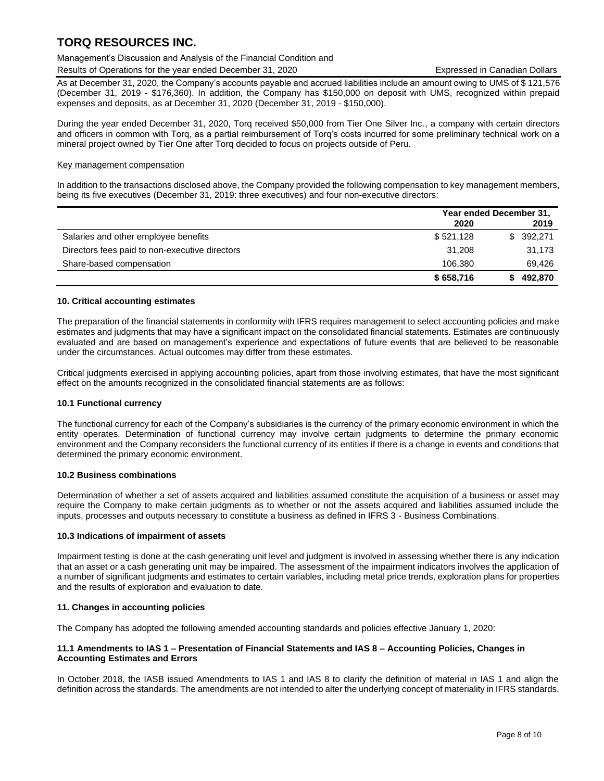### Management's Discussion and Analysis of the Financial Condition and

Results of Operations for the year ended December 31, 2020 Expressed in Canadian Dollars

As at December 31, 2020, the Company's accounts payable and accrued liabilities include an amount owing to UMS of \$ 121,576 (December 31, 2019 - \$176,360). In addition, the Company has \$150,000 on deposit with UMS, recognized within prepaid expenses and deposits, as at December 31, 2020 (December 31, 2019 - \$150,000).

During the year ended December 31, 2020, Torq received \$50,000 from Tier One Silver Inc., a company with certain directors and officers in common with Torq, as a partial reimbursement of Torq's costs incurred for some preliminary technical work on a mineral project owned by Tier One after Torq decided to focus on projects outside of Peru.

### Key management compensation

In addition to the transactions disclosed above, the Company provided the following compensation to key management members, being its five executives (December 31, 2019: three executives) and four non-executive directors:

|                                                | Year ended December 31, |           |  |
|------------------------------------------------|-------------------------|-----------|--|
|                                                | 2020                    | 2019      |  |
| Salaries and other employee benefits           | \$521,128               | \$392,271 |  |
| Directors fees paid to non-executive directors | 31.208                  | 31,173    |  |
| Share-based compensation                       | 106.380                 | 69.426    |  |
|                                                | \$658,716               | 492,870   |  |

### **10. Critical accounting estimates**

The preparation of the financial statements in conformity with IFRS requires management to select accounting policies and make estimates and judgments that may have a significant impact on the consolidated financial statements. Estimates are continuously evaluated and are based on management's experience and expectations of future events that are believed to be reasonable under the circumstances. Actual outcomes may differ from these estimates.

Critical judgments exercised in applying accounting policies, apart from those involving estimates, that have the most significant effect on the amounts recognized in the consolidated financial statements are as follows:

### **10.1 Functional currency**

The functional currency for each of the Company's subsidiaries is the currency of the primary economic environment in which the entity operates. Determination of functional currency may involve certain judgments to determine the primary economic environment and the Company reconsiders the functional currency of its entities if there is a change in events and conditions that determined the primary economic environment.

### **10.2 Business combinations**

Determination of whether a set of assets acquired and liabilities assumed constitute the acquisition of a business or asset may require the Company to make certain judgments as to whether or not the assets acquired and liabilities assumed include the inputs, processes and outputs necessary to constitute a business as defined in IFRS 3 - Business Combinations.

### **10.3 Indications of impairment of assets**

Impairment testing is done at the cash generating unit level and judgment is involved in assessing whether there is any indication that an asset or a cash generating unit may be impaired. The assessment of the impairment indicators involves the application of a number of significant judgments and estimates to certain variables, including metal price trends, exploration plans for properties and the results of exploration and evaluation to date.

### **11. Changes in accounting policies**

The Company has adopted the following amended accounting standards and policies effective January 1, 2020:

### **11.1 Amendments to IAS 1 – Presentation of Financial Statements and IAS 8 – Accounting Policies, Changes in Accounting Estimates and Errors**

In October 2018, the IASB issued Amendments to IAS 1 and IAS 8 to clarify the definition of material in IAS 1 and align the definition across the standards. The amendments are not intended to alter the underlying concept of materiality in IFRS standards.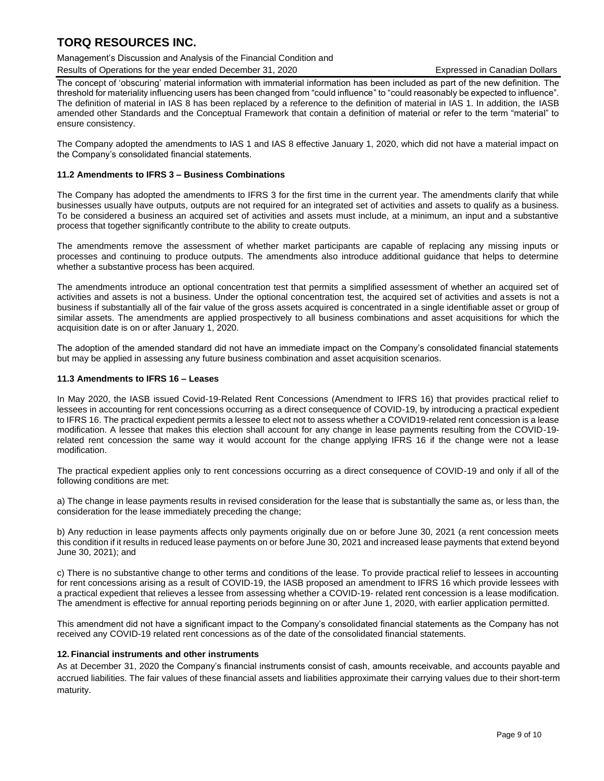Management's Discussion and Analysis of the Financial Condition and

Results of Operations for the year ended December 31, 2020 Expressed in Canadian Dollars

The concept of 'obscuring' material information with immaterial information has been included as part of the new definition. The threshold for materiality influencing users has been changed from "could influence" to "could reasonably be expected to influence". The definition of material in IAS 8 has been replaced by a reference to the definition of material in IAS 1. In addition, the IASB amended other Standards and the Conceptual Framework that contain a definition of material or refer to the term "material" to ensure consistency.

The Company adopted the amendments to IAS 1 and IAS 8 effective January 1, 2020, which did not have a material impact on the Company's consolidated financial statements.

### **11.2 Amendments to IFRS 3 – Business Combinations**

The Company has adopted the amendments to IFRS 3 for the first time in the current year. The amendments clarify that while businesses usually have outputs, outputs are not required for an integrated set of activities and assets to qualify as a business. To be considered a business an acquired set of activities and assets must include, at a minimum, an input and a substantive process that together significantly contribute to the ability to create outputs.

The amendments remove the assessment of whether market participants are capable of replacing any missing inputs or processes and continuing to produce outputs. The amendments also introduce additional guidance that helps to determine whether a substantive process has been acquired.

The amendments introduce an optional concentration test that permits a simplified assessment of whether an acquired set of activities and assets is not a business. Under the optional concentration test, the acquired set of activities and assets is not a business if substantially all of the fair value of the gross assets acquired is concentrated in a single identifiable asset or group of similar assets. The amendments are applied prospectively to all business combinations and asset acquisitions for which the acquisition date is on or after January 1, 2020.

The adoption of the amended standard did not have an immediate impact on the Company's consolidated financial statements but may be applied in assessing any future business combination and asset acquisition scenarios.

### **11.3 Amendments to IFRS 16 – Leases**

In May 2020, the IASB issued Covid-19-Related Rent Concessions (Amendment to IFRS 16) that provides practical relief to lessees in accounting for rent concessions occurring as a direct consequence of COVID-19, by introducing a practical expedient to IFRS 16. The practical expedient permits a lessee to elect not to assess whether a COVID19-related rent concession is a lease modification. A lessee that makes this election shall account for any change in lease payments resulting from the COVID-19 related rent concession the same way it would account for the change applying IFRS 16 if the change were not a lease modification.

The practical expedient applies only to rent concessions occurring as a direct consequence of COVID-19 and only if all of the following conditions are met:

a) The change in lease payments results in revised consideration for the lease that is substantially the same as, or less than, the consideration for the lease immediately preceding the change;

b) Any reduction in lease payments affects only payments originally due on or before June 30, 2021 (a rent concession meets this condition if it results in reduced lease payments on or before June 30, 2021 and increased lease payments that extend beyond June 30, 2021); and

c) There is no substantive change to other terms and conditions of the lease. To provide practical relief to lessees in accounting for rent concessions arising as a result of COVID-19, the IASB proposed an amendment to IFRS 16 which provide lessees with a practical expedient that relieves a lessee from assessing whether a COVID-19- related rent concession is a lease modification. The amendment is effective for annual reporting periods beginning on or after June 1, 2020, with earlier application permitted.

This amendment did not have a significant impact to the Company's consolidated financial statements as the Company has not received any COVID-19 related rent concessions as of the date of the consolidated financial statements.

### **12. Financial instruments and other instruments**

As at December 31, 2020 the Company's financial instruments consist of cash, amounts receivable, and accounts payable and accrued liabilities. The fair values of these financial assets and liabilities approximate their carrying values due to their short-term maturity.